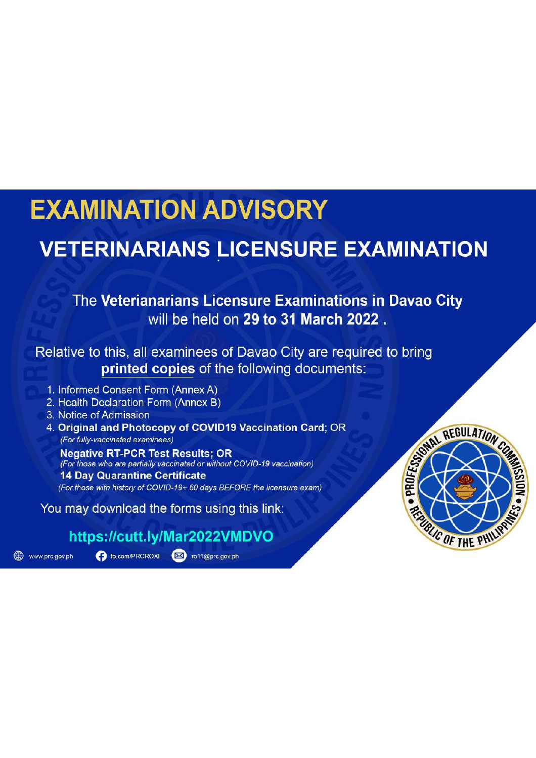# **EXAMINATION ADVISORY**

## **VETERINARIANS LICENSURE EXAMINATION**

## The Veterianarians Licensure Examinations in Davao City will be held on 29 to 31 March 2022.

Relative to this, all examinees of Davao City are required to bring printed copies of the following documents:

- 1. Informed Consent Form (Annex A)
- 2. Health Declaration Form (Annex B)
- 3. Notice of Admission
- 4. Original and Photocopy of COVID19 Vaccination Card; OR (For fully-vaccinated examinees)

**Negative RT-PCR Test Results: OR** (For those who are partially vaccinated or without COVID-19 vaccination) **14 Day Quarantine Certificate** (For those with history of COVID-19+ 60 days BEFORE the licensure exam)

You may download the forms using this link:

## https://cutt.ly/Mar2022VMDVO

www.prc.gov.ph

**Ext** ro11@prc.gov.ph **D** fb.com/PRCROXI

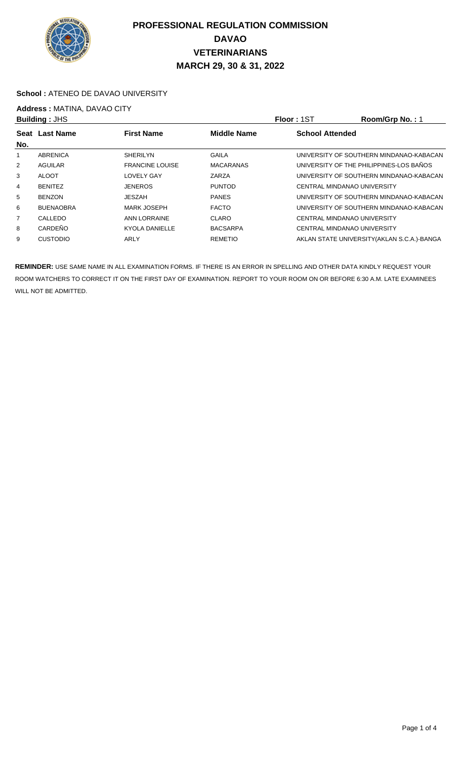

#### **School : ATENEO DE DAVAO UNIVERSITY**

## **Address : MATINA, DAVAO CITY**<br>**Ruilding** : JHS

| <b>Building: JHS</b> |                                                             |                        |                  | Floor: 1ST                  | Room/Grp No.: 1                             |
|----------------------|-------------------------------------------------------------|------------------------|------------------|-----------------------------|---------------------------------------------|
| Seat                 | <b>First Name</b><br><b>Middle Name</b><br><b>Last Name</b> |                        |                  | <b>School Attended</b>      |                                             |
| No.                  |                                                             |                        |                  |                             |                                             |
|                      | ABRENICA                                                    | <b>SHERILYN</b>        | GAILA            |                             | UNIVERSITY OF SOUTHERN MINDANAO-KABACAN     |
| $\overline{2}$       | AGUILAR                                                     | <b>FRANCINE LOUISE</b> | <b>MACARANAS</b> |                             | UNIVERSITY OF THE PHILIPPINES-LOS BAÑOS     |
| 3                    | <b>ALOOT</b>                                                | <b>LOVELY GAY</b>      | ZARZA            |                             | UNIVERSITY OF SOUTHERN MINDANAO-KABACAN     |
| 4                    | <b>BENITEZ</b>                                              | <b>JENEROS</b>         | <b>PUNTOD</b>    | CENTRAL MINDANAO UNIVERSITY |                                             |
| 5                    | <b>BENZON</b>                                               | JESZAH                 | <b>PANES</b>     |                             | UNIVERSITY OF SOUTHERN MINDANAO-KABACAN     |
| 6                    | <b>BUENAOBRA</b>                                            | <b>MARK JOSEPH</b>     | <b>FACTO</b>     |                             | UNIVERSITY OF SOUTHERN MINDANAO-KABACAN     |
| $\overline{7}$       | CALLEDO                                                     | ANN LORRAINE           | CLARO            | CENTRAL MINDANAO UNIVERSITY |                                             |
| 8                    | CARDEÑO                                                     | <b>KYOLA DANIELLE</b>  | <b>BACSARPA</b>  | CENTRAL MINDANAO UNIVERSITY |                                             |
| 9                    | <b>CUSTODIO</b>                                             | ARLY                   | <b>REMETIO</b>   |                             | AKLAN STATE UNIVERSITY (AKLAN S.C.A.)-BANGA |
|                      |                                                             |                        |                  |                             |                                             |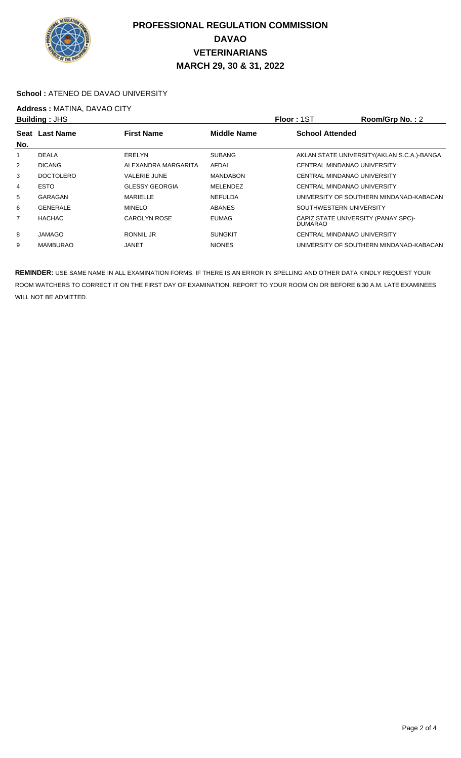

#### **School :** ATENEO DE DAVAO UNIVERSITY

## **Address : MATINA, DAVAO CITY**<br>**Building : JHS**

| <b>Building: JHS</b> |                  |                       |                    | <b>Floor: 1ST</b>       | Room/Grp No.: 2                             |  |
|----------------------|------------------|-----------------------|--------------------|-------------------------|---------------------------------------------|--|
|                      | Seat Last Name   | <b>First Name</b>     | <b>Middle Name</b> |                         | <b>School Attended</b>                      |  |
| No.                  |                  |                       |                    |                         |                                             |  |
|                      | <b>DEALA</b>     | <b>ERELYN</b>         | <b>SUBANG</b>      |                         | AKLAN STATE UNIVERSITY (AKLAN S.C.A.)-BANGA |  |
| 2                    | <b>DICANG</b>    | ALEXANDRA MARGARITA   | AFDAL              |                         | CENTRAL MINDANAO UNIVERSITY                 |  |
| 3                    | <b>DOCTOLERO</b> | <b>VALERIE JUNE</b>   | <b>MANDABON</b>    |                         | CENTRAL MINDANAO UNIVERSITY                 |  |
| 4                    | <b>ESTO</b>      | <b>GLESSY GEORGIA</b> | <b>MELENDEZ</b>    |                         | CENTRAL MINDANAO UNIVERSITY                 |  |
| 5                    | GARAGAN          | <b>MARIELLE</b>       | <b>NEFULDA</b>     |                         | UNIVERSITY OF SOUTHERN MINDANAO-KABACAN     |  |
| 6                    | <b>GENERALE</b>  | <b>MINELO</b>         | <b>ABANES</b>      | SOUTHWESTERN UNIVERSITY |                                             |  |
| 7                    | <b>HACHAC</b>    | CAROLYN ROSE          | <b>EUMAG</b>       | <b>DUMARAO</b>          | CAPIZ STATE UNIVERSITY (PANAY SPC)-         |  |
| 8                    | JAMAGO           | RONNIL JR             | <b>SUNGKIT</b>     |                         | CENTRAL MINDANAO UNIVERSITY                 |  |
| 9                    | <b>MAMBURAO</b>  | JANET                 | <b>NIONES</b>      |                         | UNIVERSITY OF SOUTHERN MINDANAO-KABACAN     |  |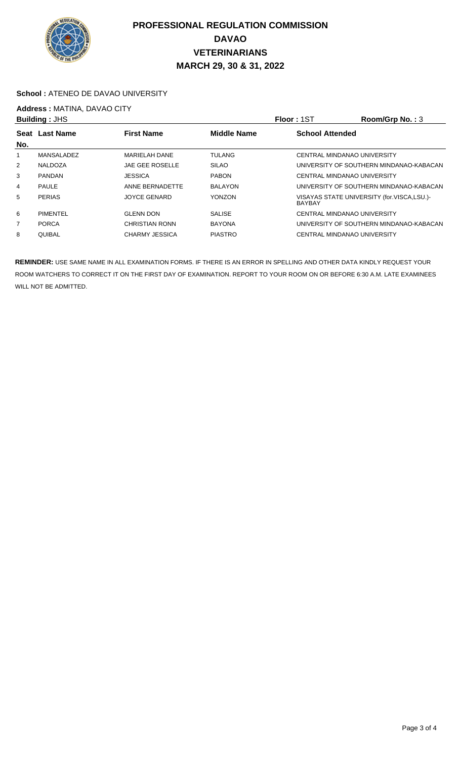

#### **School :** ATENEO DE DAVAO UNIVERSITY

## **Address : MATINA, DAVAO CITY**<br>**Building : JHS**

|                | <b>Building: JHS</b> |                                         | <b>Floor: 1ST</b> | Room/Grp No.: 3        |                                            |  |
|----------------|----------------------|-----------------------------------------|-------------------|------------------------|--------------------------------------------|--|
| No.            | Seat Last Name       | <b>First Name</b><br><b>Middle Name</b> |                   | <b>School Attended</b> |                                            |  |
|                | MANSALADEZ           | <b>MARIELAH DANE</b>                    | <b>TULANG</b>     |                        | CENTRAL MINDANAO UNIVERSITY                |  |
| $\overline{2}$ | NALDOZA              | JAE GEE ROSELLE                         | <b>SILAO</b>      |                        | UNIVERSITY OF SOUTHERN MINDANAO-KABACAN    |  |
| 3              | <b>PANDAN</b>        | <b>JESSICA</b>                          | <b>PABON</b>      |                        | CENTRAL MINDANAO UNIVERSITY                |  |
| 4              | <b>PAULE</b>         | ANNE BERNADETTE                         | <b>BALAYON</b>    |                        | UNIVERSITY OF SOUTHERN MINDANAO-KABACAN    |  |
| 5              | <b>PERIAS</b>        | <b>JOYCE GENARD</b>                     | <b>YONZON</b>     | <b>BAYBAY</b>          | VISAYAS STATE UNIVERSITY (for.VISCA,LSU.)- |  |
| 6              | <b>PIMENTEL</b>      | <b>GLENN DON</b>                        | <b>SALISE</b>     |                        | CENTRAL MINDANAO UNIVERSITY                |  |
| 7              | <b>PORCA</b>         | <b>CHRISTIAN RONN</b>                   | <b>BAYONA</b>     |                        | UNIVERSITY OF SOUTHERN MINDANAO-KABACAN    |  |
| 8              | QUIBAL               | <b>CHARMY JESSICA</b>                   | <b>PIASTRO</b>    |                        | CENTRAL MINDANAO UNIVERSITY                |  |